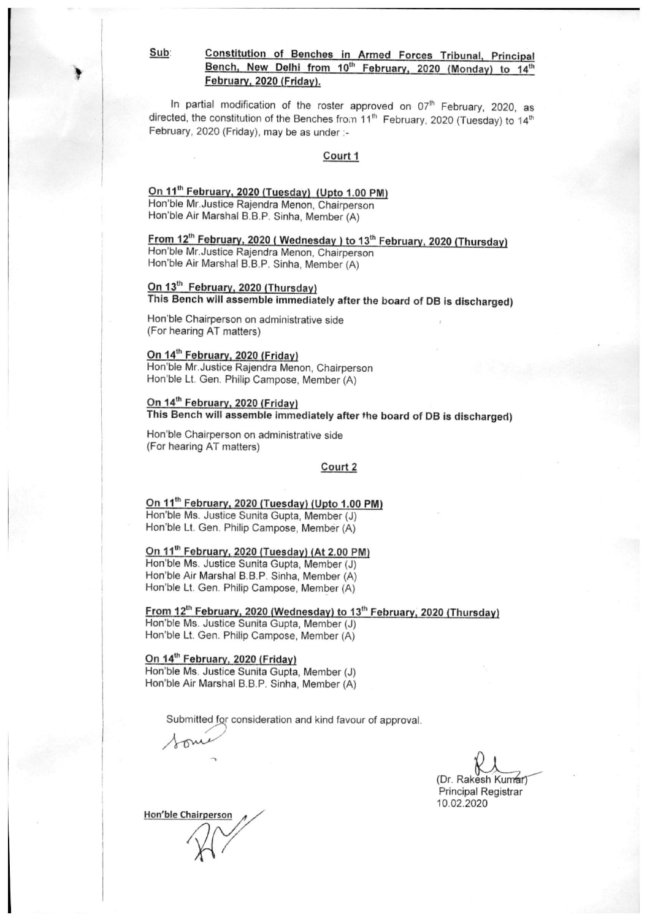Sub:

#### Constitution of Benches in Armed Forces Tribunal, Principal Bench, New Delhi from 10<sup>th</sup> February, 2020 (Monday) to 14<sup>th</sup> February, 2020 (Friday).

In partial modification of the roster approved on 07<sup>th</sup> February, 2020, as directed, the constitution of the Benches from 11<sup>th</sup> February, 2020 (Tuesday) to 14<sup>th</sup> February, 2020 (Friday), may be as under :-

#### Court 1

#### On 11<sup>th</sup> February, 2020 (Tuesday) (Upto 1.00 PM)

Hon'ble Mr. Justice Rajendra Menon, Chairperson Hon'ble Air Marshal B.B.P. Sinha, Member (A)

#### From 12th February, 2020 (Wednesday) to 13<sup>th</sup> February, 2020 (Thursday) Hon'ble Mr. Justice Rajendra Menon, Chairperson

Hon'ble Air Marshal B.B.P. Sinha, Member (A)

#### On 13<sup>th</sup> February, 2020 (Thursday) This Bench will assemble immediately after the board of DB is discharged)

Hon'ble Chairperson on administrative side (For hearing AT matters)

#### On 14<sup>th</sup> February, 2020 (Friday)

Hon'ble Mr. Justice Rajendra Menon, Chairperson Hon'ble Lt. Gen. Philip Campose, Member (A)

#### On 14<sup>th</sup> February, 2020 (Friday)

This Bench will assemble immediately after the board of DB is discharged)

Hon'ble Chairperson on administrative side (For hearing AT matters)

#### Court 2

## On 11<sup>th</sup> February, 2020 (Tuesday) (Upto 1.00 PM) Hon'ble Ms. Justice Sunita Gupta, Member (J)

Hon'ble Lt. Gen. Philip Campose, Member (A)

On 11<sup>th</sup> February, 2020 (Tuesday) (At 2.00 PM) Hon'ble Ms. Justice Sunita Gupta, Member (J) Hon'ble Air Marshal B.B.P. Sinha, Member (A) Hon'ble Lt. Gen. Philip Campose, Member (A)

From 12th February, 2020 (Wednesday) to 13<sup>th</sup> February, 2020 (Thursday) Hon'ble Ms. Justice Sunita Gupta, Member (J) Hon'ble Lt. Gen. Philip Campose, Member (A)

On 14<sup>th</sup> February, 2020 (Friday) Hon'ble Ms. Justice Sunita Gupta, Member (J) Hon'ble Air Marshal B.B.P. Sinha, Member (A)

Submitted for consideration and kind favour of approval.

(Dr. Rakesh Kumar) **Principal Registrar** 10.02.2020

Hon'ble Chairperson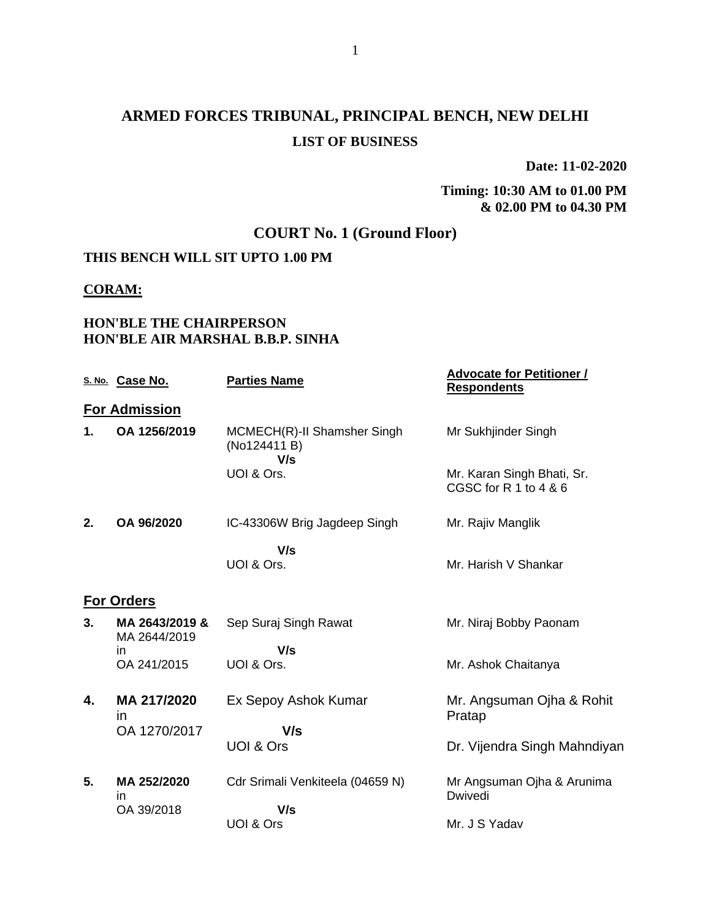# **ARMED FORCES TRIBUNAL, PRINCIPAL BENCH, NEW DELHI LIST OF BUSINESS**

**Date: 11-02-2020**

**Timing: 10:30 AM to 01.00 PM & 02.00 PM to 04.30 PM**

# **COURT No. 1 (Ground Floor)**

# **THIS BENCH WILL SIT UPTO 1.00 PM**

#### **CORAM:**

## **HON'BLE THE CHAIRPERSON HON'BLE AIR MARSHAL B.B.P. SINHA**

|    | S. No. Case No.                | <b>Parties Name</b>                                | <u> Advocate for Petitioner /</u><br><b>Respondents</b> |  |  |  |  |
|----|--------------------------------|----------------------------------------------------|---------------------------------------------------------|--|--|--|--|
|    | <b>For Admission</b>           |                                                    |                                                         |  |  |  |  |
| 1. | OA 1256/2019                   | MCMECH(R)-II Shamsher Singh<br>(No124411 B)<br>V/s | Mr Sukhjinder Singh                                     |  |  |  |  |
|    |                                | UOI & Ors.                                         | Mr. Karan Singh Bhati, Sr.<br>CGSC for R 1 to 4 & 6     |  |  |  |  |
| 2. | OA 96/2020                     | IC-43306W Brig Jagdeep Singh                       | Mr. Rajiv Manglik                                       |  |  |  |  |
|    |                                | V/s<br>UOI & Ors.                                  | Mr. Harish V Shankar                                    |  |  |  |  |
|    | <b>For Orders</b>              |                                                    |                                                         |  |  |  |  |
| 3. | MA 2643/2019 &<br>MA 2644/2019 | Sep Suraj Singh Rawat                              | Mr. Niraj Bobby Paonam                                  |  |  |  |  |
|    | ın<br>OA 241/2015              | V/s<br>UOI & Ors.                                  | Mr. Ashok Chaitanya                                     |  |  |  |  |
| 4. | MA 217/2020<br><i>in</i>       | Ex Sepoy Ashok Kumar                               | Mr. Angsuman Ojha & Rohit<br>Pratap                     |  |  |  |  |
|    | OA 1270/2017                   | V/s<br>UOI & Ors                                   | Dr. Vijendra Singh Mahndiyan                            |  |  |  |  |
| 5. | MA 252/2020<br>in              | Cdr Srimali Venkiteela (04659 N)                   | Mr Angsuman Ojha & Arunima<br>Dwivedi                   |  |  |  |  |
|    | OA 39/2018                     | V/s<br>UOI & Ors                                   | Mr. J S Yadav                                           |  |  |  |  |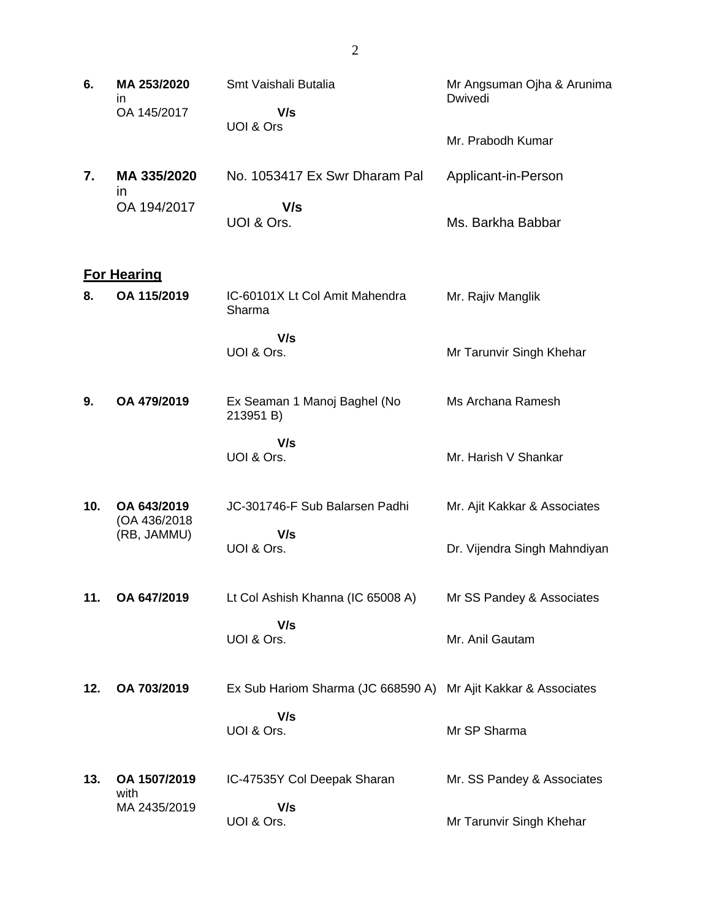| 6.  | MA 253/2020<br>ın<br>OA 145/2017 | Smt Vaishali Butalia<br>V/s                                    | Mr Angsuman Ojha & Arunima<br>Dwivedi |
|-----|----------------------------------|----------------------------------------------------------------|---------------------------------------|
|     |                                  | UOI & Ors                                                      | Mr. Prabodh Kumar                     |
| 7.  | MA 335/2020<br>$\mathsf{I}$      | No. 1053417 Ex Swr Dharam Pal                                  | Applicant-in-Person                   |
|     | OA 194/2017                      | V/s<br>UOI & Ors.                                              | Ms. Barkha Babbar                     |
|     | <b>For Hearing</b>               |                                                                |                                       |
| 8.  | OA 115/2019                      | IC-60101X Lt Col Amit Mahendra<br>Sharma                       | Mr. Rajiv Manglik                     |
|     |                                  | V/s<br>UOI & Ors.                                              | Mr Tarunvir Singh Khehar              |
| 9.  | OA 479/2019                      | Ex Seaman 1 Manoj Baghel (No<br>213951 B)                      | Ms Archana Ramesh                     |
|     |                                  | V/s<br>UOI & Ors.                                              | Mr. Harish V Shankar                  |
| 10. | OA 643/2019<br>(OA 436/2018      | JC-301746-F Sub Balarsen Padhi                                 | Mr. Ajit Kakkar & Associates          |
|     | (RB, JAMMU)                      | V/s<br>UOI & Ors.                                              | Dr. Vijendra Singh Mahndiyan          |
| 11. | OA 647/2019                      | Lt Col Ashish Khanna (IC 65008 A)                              | Mr SS Pandey & Associates             |
|     |                                  | V/s<br>UOI & Ors.                                              | Mr. Anil Gautam                       |
| 12. | OA 703/2019                      | Ex Sub Hariom Sharma (JC 668590 A) Mr Ajit Kakkar & Associates |                                       |
|     |                                  | V/s<br>UOI & Ors.                                              | Mr SP Sharma                          |
| 13. | OA 1507/2019<br>with             | IC-47535Y Col Deepak Sharan                                    | Mr. SS Pandey & Associates            |
|     | MA 2435/2019                     | V/s<br>UOI & Ors.                                              | Mr Tarunvir Singh Khehar              |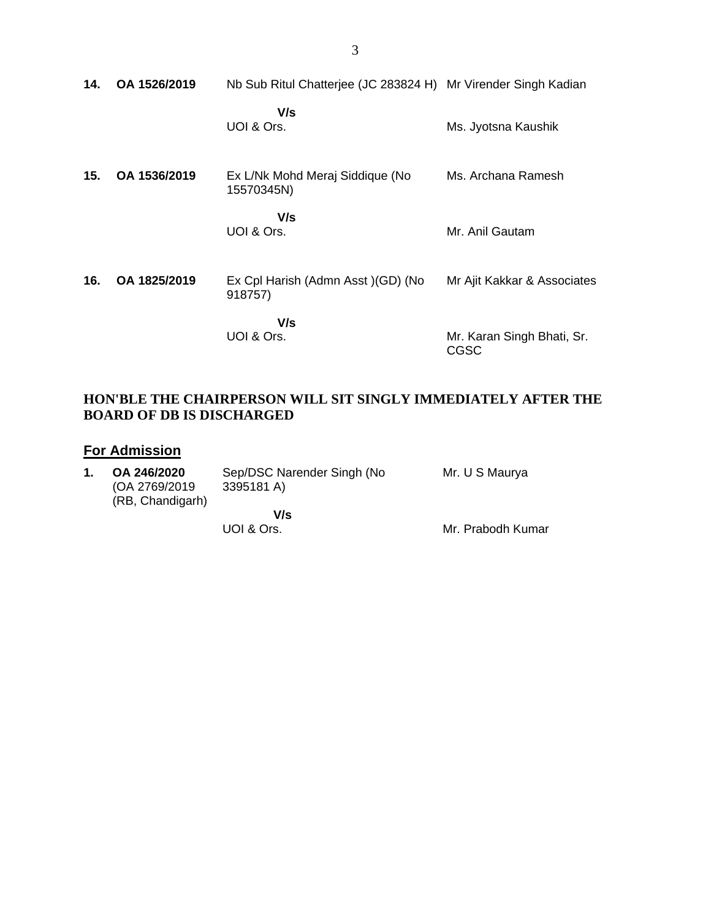| 14. | OA 1526/2019 | Nb Sub Ritul Chatterjee (JC 283824 H) Mr Virender Singh Kadian |                                           |
|-----|--------------|----------------------------------------------------------------|-------------------------------------------|
|     |              | V/s<br>UOI & Ors.                                              | Ms. Jyotsna Kaushik                       |
| 15. | OA 1536/2019 | Ex L/Nk Mohd Meraj Siddique (No<br>15570345N)                  | Ms. Archana Ramesh                        |
|     |              | V/s<br>UOI & Ors.                                              | Mr. Anil Gautam                           |
| 16. | OA 1825/2019 | Ex Cpl Harish (Admn Asst) (GD) (No<br>918757)                  | Mr Ajit Kakkar & Associates               |
|     |              | V/s<br>UOI & Ors.                                              | Mr. Karan Singh Bhati, Sr.<br><b>CGSC</b> |

## **HON'BLE THE CHAIRPERSON WILL SIT SINGLY IMMEDIATELY AFTER THE BOARD OF DB IS DISCHARGED**

# **For Admission**

| 1. | OA 246/2020<br>(OA 2769/2019)<br>(RB, Chandigarh) | Sep/DSC Narender Singh (No<br>3395181 A) | Mr. U S Maurya    |
|----|---------------------------------------------------|------------------------------------------|-------------------|
|    |                                                   | V/s<br>UOI & Ors.                        | Mr. Prabodh Kumar |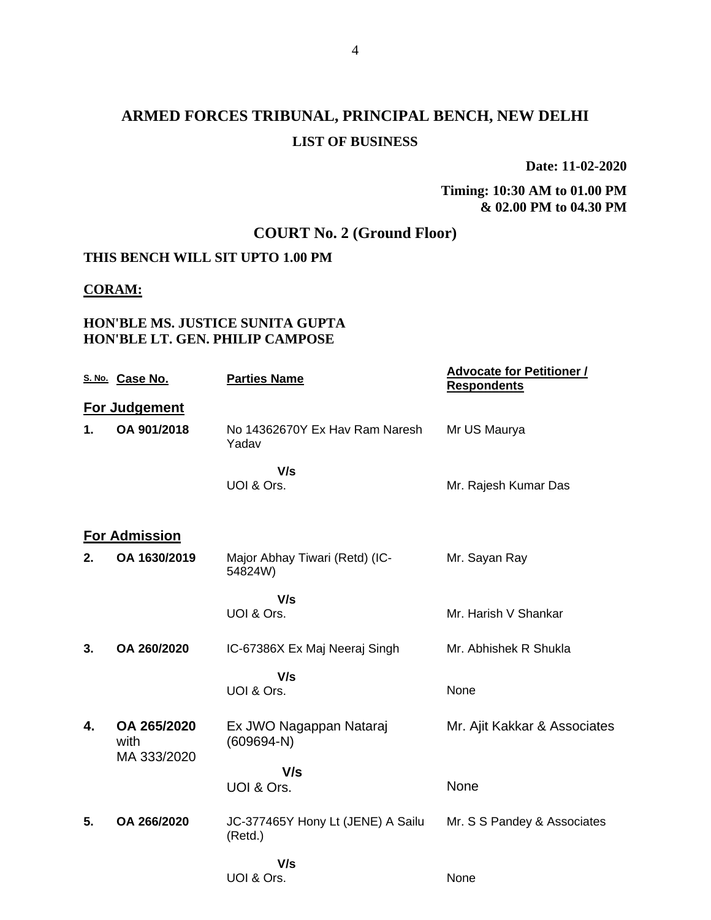# **ARMED FORCES TRIBUNAL, PRINCIPAL BENCH, NEW DELHI LIST OF BUSINESS**

**Date: 11-02-2020**

**Timing: 10:30 AM to 01.00 PM & 02.00 PM to 04.30 PM**

# **COURT No. 2 (Ground Floor)**

## **THIS BENCH WILL SIT UPTO 1.00 PM**

#### **CORAM:**

## **HON'BLE MS. JUSTICE SUNITA GUPTA HON'BLE LT. GEN. PHILIP CAMPOSE**

|               | S. No. Case No.                    | <b>Parties Name</b>                          | <b>Advocate for Petitioner /</b><br><b>Respondents</b> |
|---------------|------------------------------------|----------------------------------------------|--------------------------------------------------------|
|               | For Judgement                      |                                              |                                                        |
| $\mathbf 1$ . | OA 901/2018                        | No 14362670Y Ex Hay Ram Naresh<br>Yadav      | Mr US Maurya                                           |
|               |                                    | V/s                                          |                                                        |
|               |                                    | UOI & Ors.                                   | Mr. Rajesh Kumar Das                                   |
|               | <b>For Admission</b>               |                                              |                                                        |
| 2.            | OA 1630/2019                       | Major Abhay Tiwari (Retd) (IC-<br>54824W)    | Mr. Sayan Ray                                          |
|               |                                    | V/s                                          |                                                        |
|               |                                    | UOI & Ors.                                   | Mr. Harish V Shankar                                   |
| 3.            | OA 260/2020                        | IC-67386X Ex Maj Neeraj Singh                | Mr. Abhishek R Shukla                                  |
|               |                                    | V/s                                          |                                                        |
|               |                                    | UOI & Ors.                                   | None                                                   |
| 4.            | OA 265/2020<br>with<br>MA 333/2020 | Ex JWO Nagappan Nataraj<br>$(609694-N)$      | Mr. Ajit Kakkar & Associates                           |
|               |                                    | V/s                                          |                                                        |
|               |                                    | UOI & Ors.                                   | None                                                   |
| 5.            | OA 266/2020                        | JC-377465Y Hony Lt (JENE) A Sailu<br>(Retd.) | Mr. S S Pandey & Associates                            |
|               |                                    | V/s                                          |                                                        |
|               |                                    | UOI & Ors.                                   | None                                                   |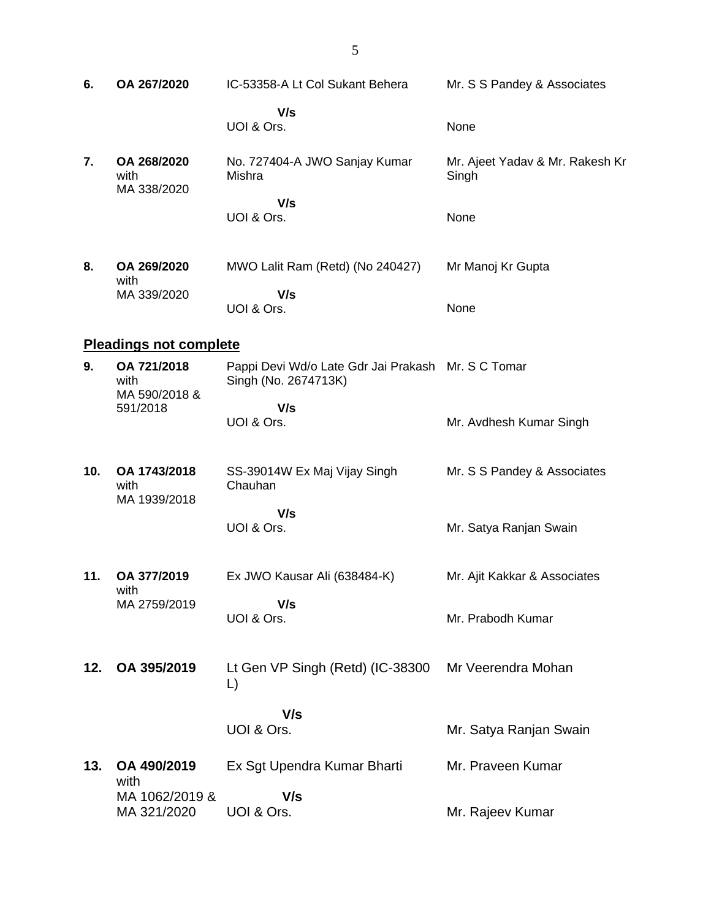| 6.  | OA 267/2020                        | IC-53358-A Lt Col Sukant Behera                                            | Mr. S S Pandey & Associates              |
|-----|------------------------------------|----------------------------------------------------------------------------|------------------------------------------|
|     |                                    | V/s<br>UOI & Ors.                                                          | None                                     |
| 7.  | OA 268/2020<br>with<br>MA 338/2020 | No. 727404-A JWO Sanjay Kumar<br>Mishra                                    | Mr. Ajeet Yadav & Mr. Rakesh Kr<br>Singh |
|     |                                    | V/s<br>UOI & Ors.                                                          | None                                     |
| 8.  | OA 269/2020<br>with                | MWO Lalit Ram (Retd) (No 240427)                                           | Mr Manoj Kr Gupta                        |
|     | MA 339/2020                        | V/s<br>UOI & Ors.                                                          | None                                     |
|     | <b>Pleadings not complete</b>      |                                                                            |                                          |
| 9.  | OA 721/2018<br>with                | Pappi Devi Wd/o Late Gdr Jai Prakash Mr. S C Tomar<br>Singh (No. 2674713K) |                                          |
|     | MA 590/2018 &<br>591/2018          | V/s<br>UOI & Ors.                                                          | Mr. Avdhesh Kumar Singh                  |
| 10. | OA 1743/2018<br>with               | SS-39014W Ex Maj Vijay Singh<br>Chauhan                                    | Mr. S S Pandey & Associates              |
|     | MA 1939/2018                       | V/s                                                                        |                                          |
|     |                                    | UOI & Ors.                                                                 | Mr. Satya Ranjan Swain                   |
| 11. | OA 377/2019<br>with                | Ex JWO Kausar Ali (638484-K)                                               | Mr. Ajit Kakkar & Associates             |
|     | MA 2759/2019                       | V/s<br>UOI & Ors.                                                          | Mr. Prabodh Kumar                        |
| 12. | OA 395/2019                        | Lt Gen VP Singh (Retd) (IC-38300<br>L)                                     | Mr Veerendra Mohan                       |
|     |                                    | V/s                                                                        |                                          |
|     |                                    | UOI & Ors.                                                                 | Mr. Satya Ranjan Swain                   |
| 13. | OA 490/2019<br>with                | Ex Sgt Upendra Kumar Bharti                                                | Mr. Praveen Kumar                        |
|     | MA 1062/2019 &<br>MA 321/2020      | V/s<br>UOI & Ors.                                                          | Mr. Rajeev Kumar                         |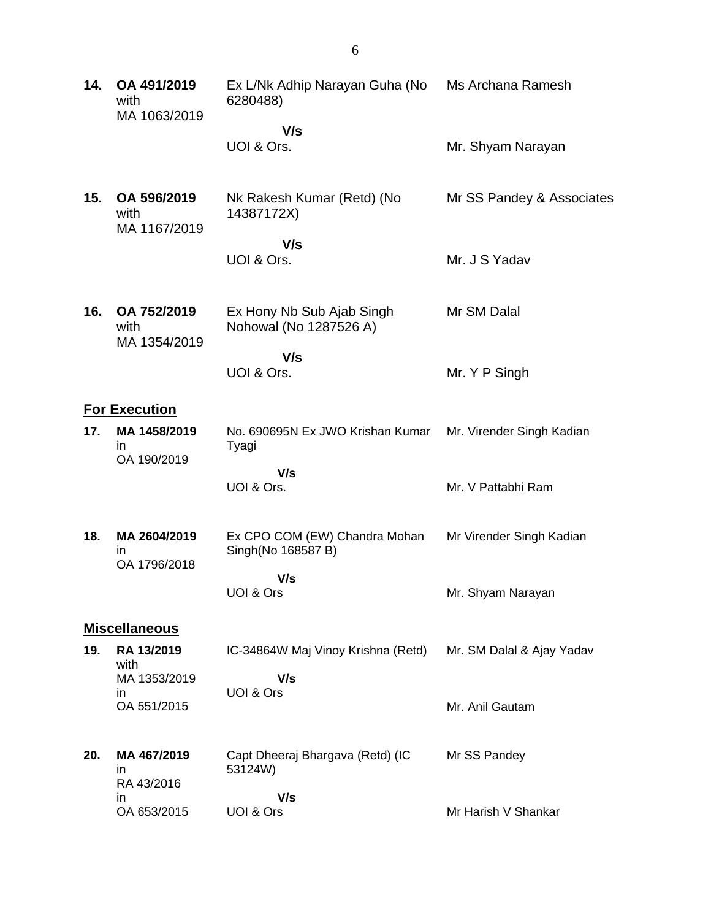| 14. | OA 491/2019<br>with<br>MA 1063/2019 | Ex L/Nk Adhip Narayan Guha (No<br>6280488)          | Ms Archana Ramesh         |
|-----|-------------------------------------|-----------------------------------------------------|---------------------------|
|     |                                     | V/s                                                 |                           |
|     |                                     | UOI & Ors.                                          | Mr. Shyam Narayan         |
| 15. | OA 596/2019<br>with<br>MA 1167/2019 | Nk Rakesh Kumar (Retd) (No<br>14387172X)            | Mr SS Pandey & Associates |
|     |                                     | V/s<br>UOI & Ors.                                   | Mr. J S Yadav             |
| 16. | OA 752/2019<br>with<br>MA 1354/2019 | Ex Hony Nb Sub Ajab Singh<br>Nohowal (No 1287526 A) | Mr SM Dalal               |
|     |                                     | V/s<br>UOI & Ors.                                   | Mr. Y P Singh             |
|     | <b>For Execution</b>                |                                                     |                           |
| 17. | MA 1458/2019<br>in<br>OA 190/2019   | No. 690695N Ex JWO Krishan Kumar<br>Tyagi           | Mr. Virender Singh Kadian |
|     |                                     | V/s<br>UOI & Ors.                                   | Mr. V Pattabhi Ram        |
| 18. | MA 2604/2019<br>in<br>OA 1796/2018  | Ex CPO COM (EW) Chandra Mohan<br>Singh(No 168587 B) | Mr Virender Singh Kadian  |
|     |                                     | V/s<br>UOI & Ors                                    | Mr. Shyam Narayan         |
|     | <b>Miscellaneous</b>                |                                                     |                           |
| 19. | RA 13/2019<br>with                  | IC-34864W Maj Vinoy Krishna (Retd)                  | Mr. SM Dalal & Ajay Yadav |
|     | MA 1353/2019                        | V/s<br>UOI & Ors                                    |                           |
|     | in.<br>OA 551/2015                  |                                                     | Mr. Anil Gautam           |
| 20. | MA 467/2019<br>in<br>RA 43/2016     | Capt Dheeraj Bhargava (Retd) (IC<br>53124W)         | Mr SS Pandey              |
|     | in<br>OA 653/2015                   | V/s<br>UOI & Ors                                    | Mr Harish V Shankar       |
|     |                                     |                                                     |                           |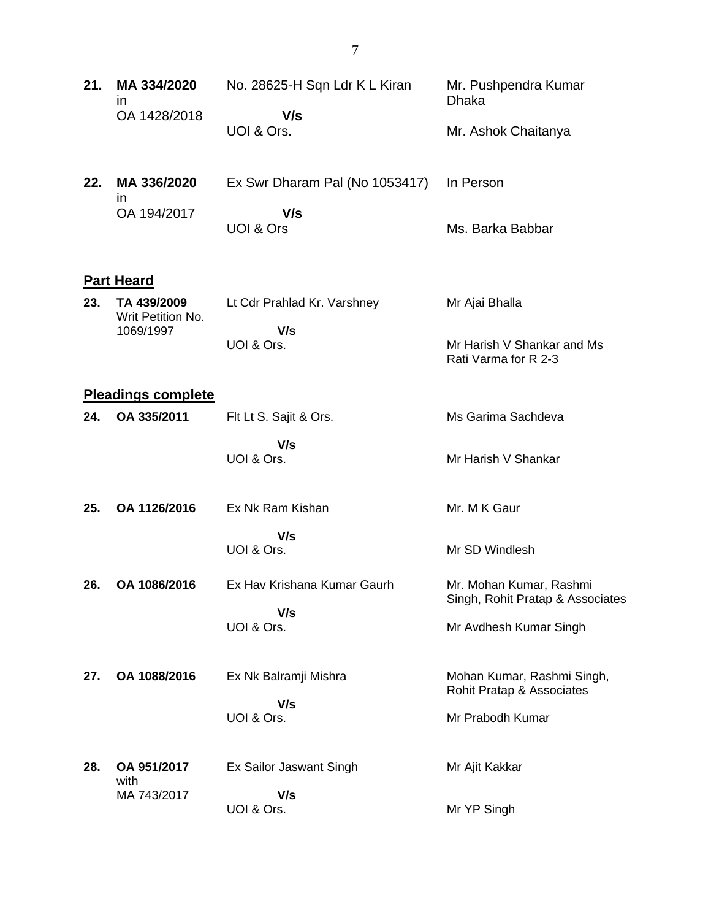| 21. | MA 334/2020<br><i>in</i><br>OA 1428/2018      | No. 28625-H Sqn Ldr K L Kiran<br>V/s | Mr. Pushpendra Kumar<br><b>Dhaka</b>                        |
|-----|-----------------------------------------------|--------------------------------------|-------------------------------------------------------------|
|     |                                               | UOI & Ors.                           | Mr. Ashok Chaitanya                                         |
| 22. | MA 336/2020<br>$\mathsf{In}$                  | Ex Swr Dharam Pal (No 1053417)       | In Person                                                   |
|     | OA 194/2017                                   | V/s<br><b>UOI &amp; Ors</b>          | Ms. Barka Babbar                                            |
|     | <b>Part Heard</b>                             |                                      |                                                             |
| 23. | TA 439/2009<br>Writ Petition No.<br>1069/1997 | Lt Cdr Prahlad Kr. Varshney<br>V/s   | Mr Ajai Bhalla                                              |
|     |                                               | UOI & Ors.                           | Mr Harish V Shankar and Ms<br>Rati Varma for R 2-3          |
|     | <b>Pleadings complete</b>                     |                                      |                                                             |
| 24. | OA 335/2011                                   | Flt Lt S. Sajit & Ors.               | Ms Garima Sachdeva                                          |
|     |                                               | V/s<br>UOI & Ors.                    | Mr Harish V Shankar                                         |
| 25. | OA 1126/2016                                  | Ex Nk Ram Kishan                     | Mr. M K Gaur                                                |
|     |                                               | V/s<br>UOI & Ors.                    | Mr SD Windlesh                                              |
| 26. | OA 1086/2016                                  | Ex Hav Krishana Kumar Gaurh<br>V/s   | Mr. Mohan Kumar, Rashmi<br>Singh, Rohit Pratap & Associates |
|     |                                               | UOI & Ors.                           | Mr Avdhesh Kumar Singh                                      |
| 27. | OA 1088/2016                                  | Ex Nk Balramji Mishra                | Mohan Kumar, Rashmi Singh,<br>Rohit Pratap & Associates     |
|     |                                               | V/s<br>UOI & Ors.                    | Mr Prabodh Kumar                                            |
| 28. | OA 951/2017<br>with                           | Ex Sailor Jaswant Singh              | Mr Ajit Kakkar                                              |
|     | MA 743/2017                                   | V/s<br>UOI & Ors.                    | Mr YP Singh                                                 |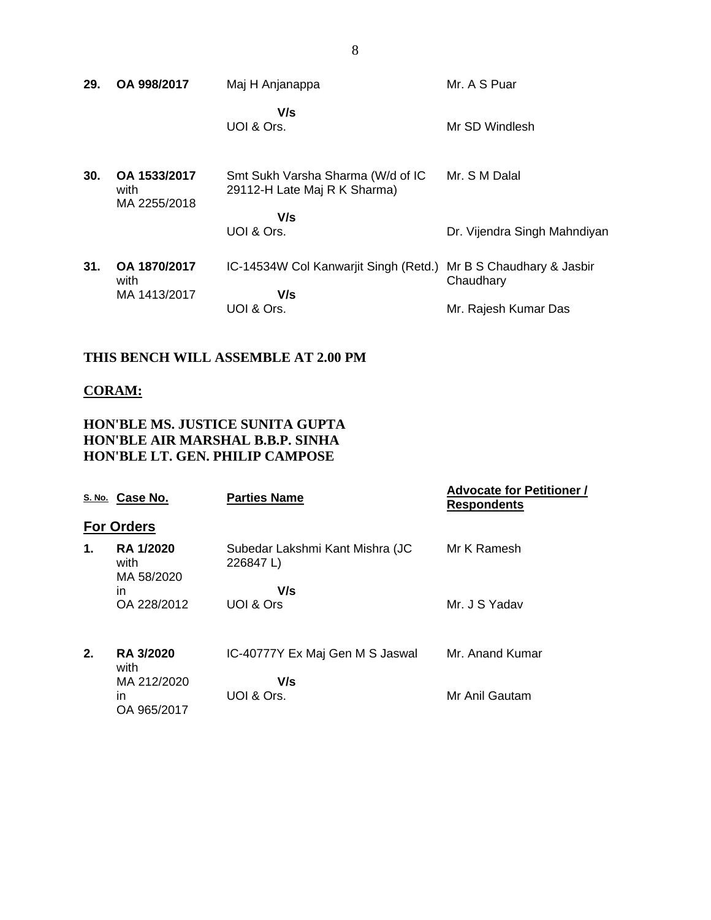| 29. | OA 998/2017                          | Maj H Anjanappa                                                   | Mr. A S Puar                           |
|-----|--------------------------------------|-------------------------------------------------------------------|----------------------------------------|
|     |                                      | V/s<br>UOI & Ors.                                                 | Mr SD Windlesh                         |
| 30. | OA 1533/2017<br>with<br>MA 2255/2018 | Smt Sukh Varsha Sharma (W/d of IC<br>29112-H Late Maj R K Sharma) | Mr. S M Dalal                          |
|     |                                      | V/s                                                               |                                        |
|     |                                      | UOI & Ors.                                                        | Dr. Vijendra Singh Mahndiyan           |
| 31. | OA 1870/2017<br>with                 | IC-14534W Col Kanwarjit Singh (Retd.)                             | Mr B S Chaudhary & Jasbir<br>Chaudhary |
|     | MA 1413/2017                         | V/s                                                               |                                        |
|     |                                      | UOI & Ors.                                                        | Mr. Rajesh Kumar Das                   |
|     |                                      |                                                                   |                                        |

## **THIS BENCH WILL ASSEMBLE AT 2.00 PM**

#### **CORAM:**

## **HON'BLE MS. JUSTICE SUNITA GUPTA HON'BLE AIR MARSHAL B.B.P. SINHA HON'BLE LT. GEN. PHILIP CAMPOSE**

|    | S. No. Case No.                        | <b>Parties Name</b>                          | <b>Advocate for Petitioner /</b><br><b>Respondents</b> |
|----|----------------------------------------|----------------------------------------------|--------------------------------------------------------|
|    | <b>For Orders</b>                      |                                              |                                                        |
| 1. | <b>RA 1/2020</b><br>with<br>MA 58/2020 | Subedar Lakshmi Kant Mishra (JC<br>226847 L) | Mr K Ramesh                                            |
|    | in                                     | V/s                                          |                                                        |
|    | OA 228/2012                            | UOI & Ors                                    | Mr. J S Yadav                                          |
| 2. | <b>RA 3/2020</b><br>with               | IC-40777Y Ex Maj Gen M S Jaswal              | Mr. Anand Kumar                                        |
|    | MA 212/2020                            | V/s                                          |                                                        |
|    | in<br>OA 965/2017                      | UOI & Ors.                                   | Mr Anil Gautam                                         |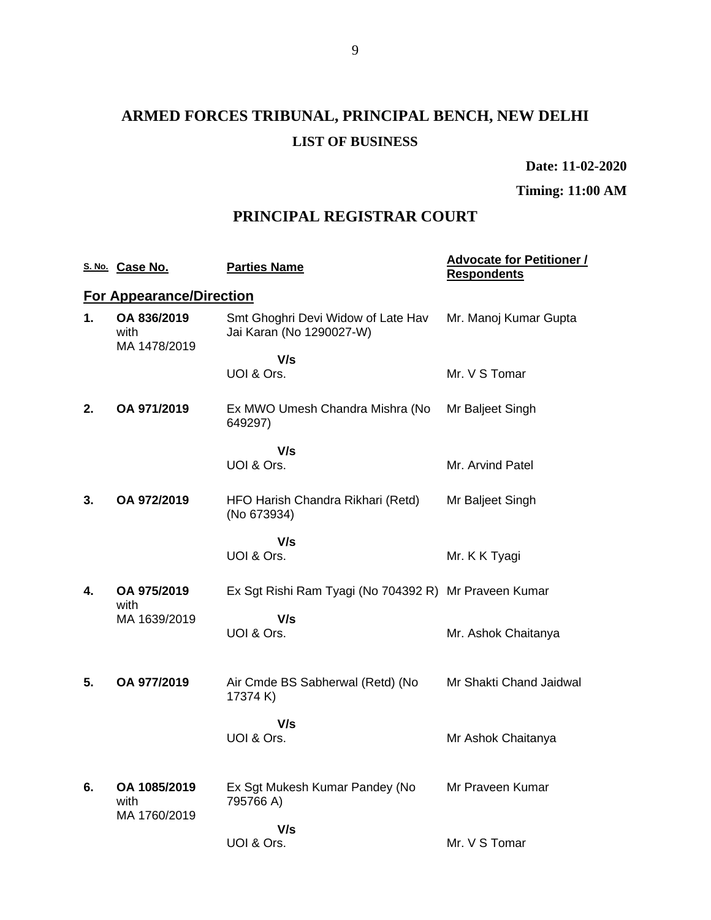# **ARMED FORCES TRIBUNAL, PRINCIPAL BENCH, NEW DELHI LIST OF BUSINESS**

**Date: 11-02-2020**

**Timing: 11:00 AM**

# **PRINCIPAL REGISTRAR COURT**

|    | S. No. Case No.                     | <b>Parties Name</b>                                            | <b>Advocate for Petitioner /</b><br><b>Respondents</b> |
|----|-------------------------------------|----------------------------------------------------------------|--------------------------------------------------------|
|    | <b>For Appearance/Direction</b>     |                                                                |                                                        |
| 1. | OA 836/2019<br>with<br>MA 1478/2019 | Smt Ghoghri Devi Widow of Late Hav<br>Jai Karan (No 1290027-W) | Mr. Manoj Kumar Gupta                                  |
|    |                                     | V/s<br>UOI & Ors.                                              | Mr. V S Tomar                                          |
| 2. | OA 971/2019                         | Ex MWO Umesh Chandra Mishra (No<br>649297)                     | Mr Baljeet Singh                                       |
|    |                                     | V/s                                                            |                                                        |
|    |                                     | UOI & Ors.                                                     | Mr. Arvind Patel                                       |
| 3. | OA 972/2019                         | HFO Harish Chandra Rikhari (Retd)<br>(No 673934)               | Mr Baljeet Singh                                       |
|    |                                     | V/s<br>UOI & Ors.                                              | Mr. K K Tyagi                                          |
|    |                                     |                                                                |                                                        |
| 4. | OA 975/2019<br>with                 | Ex Sgt Rishi Ram Tyagi (No 704392 R) Mr Praveen Kumar          |                                                        |
|    | MA 1639/2019                        | V/s                                                            |                                                        |
|    |                                     | UOI & Ors.                                                     | Mr. Ashok Chaitanya                                    |
| 5. | OA 977/2019                         | Air Cmde BS Sabherwal (Retd) (No                               | Mr Shakti Chand Jaidwal                                |
|    |                                     | 17374 K)                                                       |                                                        |
|    |                                     | V/s                                                            |                                                        |
|    |                                     | UOI & Ors.                                                     | Mr Ashok Chaitanya                                     |
| 6. | OA 1085/2019                        | Ex Sgt Mukesh Kumar Pandey (No                                 | Mr Praveen Kumar                                       |
|    | with<br>MA 1760/2019                | 795766 A)                                                      |                                                        |
|    |                                     | V/s                                                            |                                                        |
|    |                                     | UOI & Ors.                                                     | Mr. V S Tomar                                          |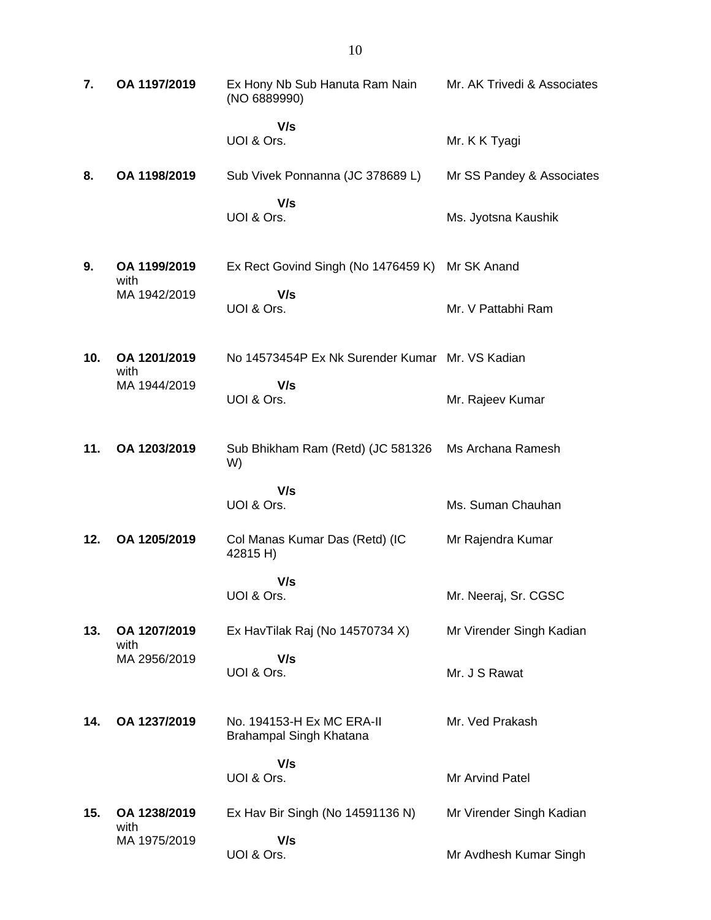| 7.  | OA 1197/2019         | Ex Hony Nb Sub Hanuta Ram Nain<br>(NO 6889990)       | Mr. AK Trivedi & Associates |
|-----|----------------------|------------------------------------------------------|-----------------------------|
|     |                      | V/s<br>UOI & Ors.                                    | Mr. K K Tyagi               |
| 8.  | OA 1198/2019         | Sub Vivek Ponnanna (JC 378689 L)                     | Mr SS Pandey & Associates   |
|     |                      | V/s<br>UOI & Ors.                                    | Ms. Jyotsna Kaushik         |
| 9.  | OA 1199/2019<br>with | Ex Rect Govind Singh (No 1476459 K)                  | Mr SK Anand                 |
|     | MA 1942/2019         | V/s<br>UOI & Ors.                                    | Mr. V Pattabhi Ram          |
| 10. | OA 1201/2019<br>with | No 14573454P Ex Nk Surender Kumar Mr. VS Kadian      |                             |
|     | MA 1944/2019         | V/s<br>UOI & Ors.                                    | Mr. Rajeev Kumar            |
| 11. | OA 1203/2019         | Sub Bhikham Ram (Retd) (JC 581326<br>W)              | Ms Archana Ramesh           |
|     |                      | V/s<br>UOI & Ors.                                    | Ms. Suman Chauhan           |
| 12. | OA 1205/2019         | Col Manas Kumar Das (Retd) (IC<br>42815 H)           | Mr Rajendra Kumar           |
|     |                      | V/s<br>UOI & Ors.                                    | Mr. Neeraj, Sr. CGSC        |
| 13. | OA 1207/2019<br>with | Ex HavTilak Raj (No 14570734 X)                      | Mr Virender Singh Kadian    |
|     | MA 2956/2019         | V/s<br>UOI & Ors.                                    | Mr. J S Rawat               |
| 14. | OA 1237/2019         | No. 194153-H Ex MC ERA-II<br>Brahampal Singh Khatana | Mr. Ved Prakash             |
|     |                      | V/s<br>UOI & Ors.                                    | Mr Arvind Patel             |
| 15. | OA 1238/2019         | Ex Hav Bir Singh (No 14591136 N)                     | Mr Virender Singh Kadian    |
|     | with<br>MA 1975/2019 | V/s<br>UOI & Ors.                                    | Mr Avdhesh Kumar Singh      |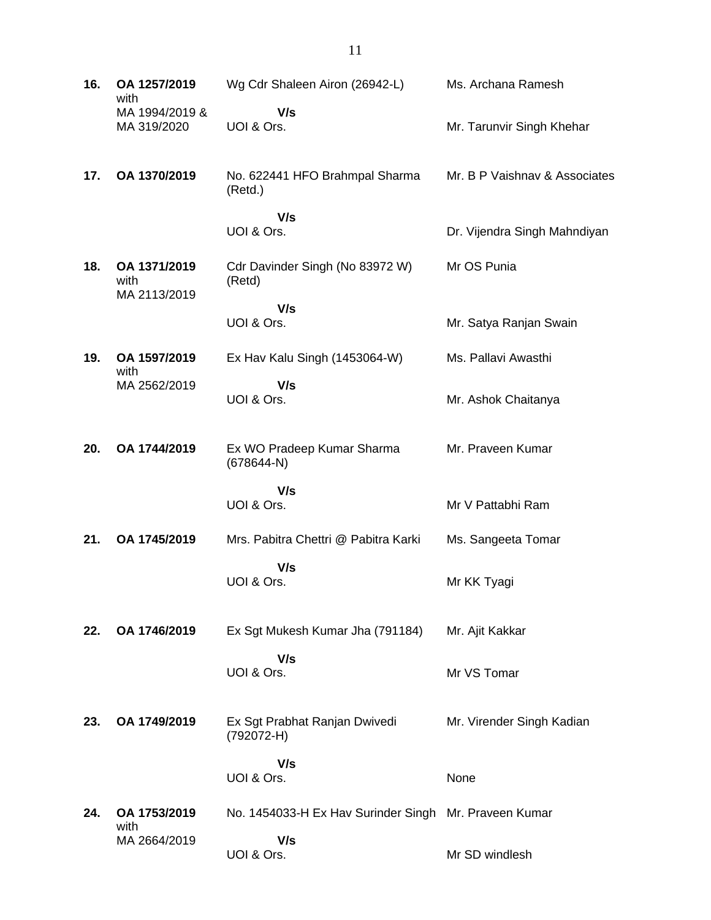| 16. | OA 1257/2019<br>with                 | Wg Cdr Shaleen Airon (26942-L)                        | Ms. Archana Ramesh            |
|-----|--------------------------------------|-------------------------------------------------------|-------------------------------|
|     | MA 1994/2019 &<br>MA 319/2020        | V/s<br>UOI & Ors.                                     | Mr. Tarunvir Singh Khehar     |
| 17. | OA 1370/2019                         | No. 622441 HFO Brahmpal Sharma<br>(Retd.)             | Mr. B P Vaishnav & Associates |
|     |                                      | V/s                                                   |                               |
|     |                                      | UOI & Ors.                                            | Dr. Vijendra Singh Mahndiyan  |
| 18. | OA 1371/2019<br>with<br>MA 2113/2019 | Cdr Davinder Singh (No 83972 W)<br>(Retd)             | Mr OS Punia                   |
|     |                                      | V/s<br>UOI & Ors.                                     | Mr. Satya Ranjan Swain        |
| 19. | OA 1597/2019                         | Ex Hav Kalu Singh (1453064-W)                         | Ms. Pallavi Awasthi           |
|     | with<br>MA 2562/2019                 | V/s<br>UOI & Ors.                                     | Mr. Ashok Chaitanya           |
| 20. | OA 1744/2019                         | Ex WO Pradeep Kumar Sharma<br>$(678644-N)$            | Mr. Praveen Kumar             |
|     |                                      | V/s<br>UOI & Ors.                                     | Mr V Pattabhi Ram             |
| 21. | OA 1745/2019                         | Mrs. Pabitra Chettri @ Pabitra Karki                  | Ms. Sangeeta Tomar            |
|     |                                      | V/s<br>UOI & Ors.                                     | Mr KK Tyagi                   |
| 22. | OA 1746/2019                         | Ex Sgt Mukesh Kumar Jha (791184)                      | Mr. Ajit Kakkar               |
|     |                                      | V/s<br>UOI & Ors.                                     | Mr VS Tomar                   |
| 23. | OA 1749/2019                         | Ex Sgt Prabhat Ranjan Dwivedi<br>(792072-H)           | Mr. Virender Singh Kadian     |
|     |                                      | V/s<br>UOI & Ors.                                     | None                          |
| 24. | OA 1753/2019                         | No. 1454033-H Ex Hav Surinder Singh Mr. Praveen Kumar |                               |
|     | with<br>MA 2664/2019                 | V/s<br>UOI & Ors.                                     | Mr SD windlesh                |
|     |                                      |                                                       |                               |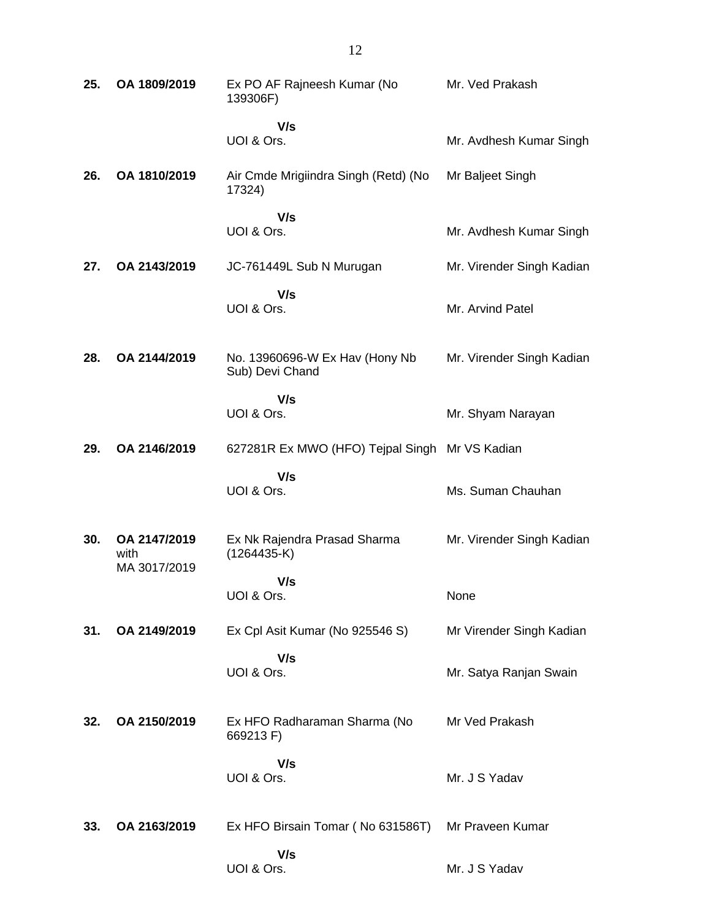| 25. | OA 1809/2019                         | Ex PO AF Rajneesh Kumar (No<br>139306F)           | Mr. Ved Prakash           |
|-----|--------------------------------------|---------------------------------------------------|---------------------------|
|     |                                      | V/s<br>UOI & Ors.                                 | Mr. Avdhesh Kumar Singh   |
| 26. | OA 1810/2019                         | Air Cmde Mrigiindra Singh (Retd) (No<br>17324)    | Mr Baljeet Singh          |
|     |                                      | V/s<br>UOI & Ors.                                 | Mr. Avdhesh Kumar Singh   |
| 27. | OA 2143/2019                         | JC-761449L Sub N Murugan                          | Mr. Virender Singh Kadian |
|     |                                      | V/s<br>UOI & Ors.                                 | Mr. Arvind Patel          |
| 28. | OA 2144/2019                         | No. 13960696-W Ex Hav (Hony Nb<br>Sub) Devi Chand | Mr. Virender Singh Kadian |
|     |                                      | V/s<br>UOI & Ors.                                 | Mr. Shyam Narayan         |
| 29. | OA 2146/2019                         | 627281R Ex MWO (HFO) Tejpal Singh Mr VS Kadian    |                           |
|     |                                      | V/s<br>UOI & Ors.                                 | Ms. Suman Chauhan         |
| 30. | OA 2147/2019<br>with<br>MA 3017/2019 | Ex Nk Rajendra Prasad Sharma<br>$(1264435-K)$     | Mr. Virender Singh Kadian |
|     |                                      | V/s<br>UOI & Ors.                                 | None                      |
| 31. | OA 2149/2019                         | Ex Cpl Asit Kumar (No 925546 S)                   | Mr Virender Singh Kadian  |
|     |                                      | V/s<br>UOI & Ors.                                 | Mr. Satya Ranjan Swain    |
| 32. | OA 2150/2019                         | Ex HFO Radharaman Sharma (No<br>669213 F)         | Mr Ved Prakash            |
|     |                                      | V/s<br>UOI & Ors.                                 | Mr. J S Yadav             |
| 33. | OA 2163/2019                         | Ex HFO Birsain Tomar (No 631586T)                 | Mr Praveen Kumar          |
|     |                                      | V/s<br>UOI & Ors.                                 | Mr. J S Yadav             |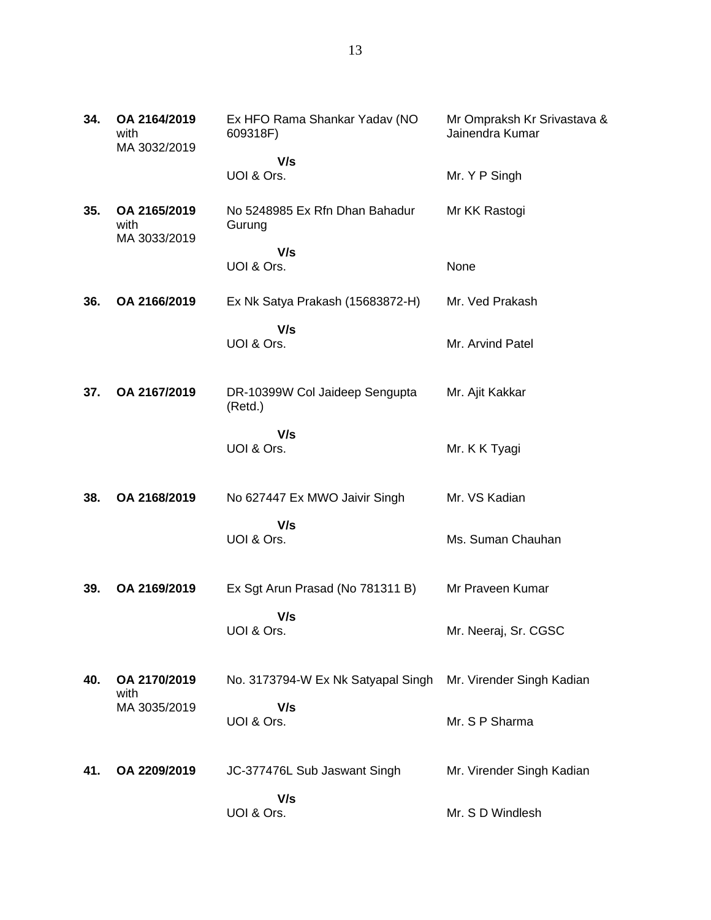| 34. | OA 2164/2019<br>with<br>MA 3032/2019 | Ex HFO Rama Shankar Yadav (NO<br>609318F) | Mr Ompraksh Kr Srivastava &<br>Jainendra Kumar |
|-----|--------------------------------------|-------------------------------------------|------------------------------------------------|
|     |                                      | V/s<br>UOI & Ors.                         | Mr. Y P Singh                                  |
| 35. | OA 2165/2019<br>with<br>MA 3033/2019 | No 5248985 Ex Rfn Dhan Bahadur<br>Gurung  | Mr KK Rastogi                                  |
|     |                                      | V/s<br>UOI & Ors.                         | None                                           |
| 36. | OA 2166/2019                         | Ex Nk Satya Prakash (15683872-H)          | Mr. Ved Prakash                                |
|     |                                      | V/s<br>UOI & Ors.                         | Mr. Arvind Patel                               |
| 37. | OA 2167/2019                         | DR-10399W Col Jaideep Sengupta<br>(Retd.) | Mr. Ajit Kakkar                                |
|     |                                      | V/s<br>UOI & Ors.                         | Mr. K K Tyagi                                  |
| 38. | OA 2168/2019                         | No 627447 Ex MWO Jaivir Singh             | Mr. VS Kadian                                  |
|     |                                      | V/s<br>UOI & Ors.                         | Ms. Suman Chauhan                              |
| 39. | OA 2169/2019                         | Ex Sgt Arun Prasad (No 781311 B)          | Mr Praveen Kumar                               |
|     |                                      | V/s<br>UOI & Ors.                         | Mr. Neeraj, Sr. CGSC                           |
| 40. | OA 2170/2019<br>with                 | No. 3173794-W Ex Nk Satyapal Singh        | Mr. Virender Singh Kadian                      |
|     | MA 3035/2019                         | V/s<br>UOI & Ors.                         | Mr. S P Sharma                                 |
| 41. | OA 2209/2019                         | JC-377476L Sub Jaswant Singh              | Mr. Virender Singh Kadian                      |
|     |                                      | V/s<br>UOI & Ors.                         | Mr. S D Windlesh                               |